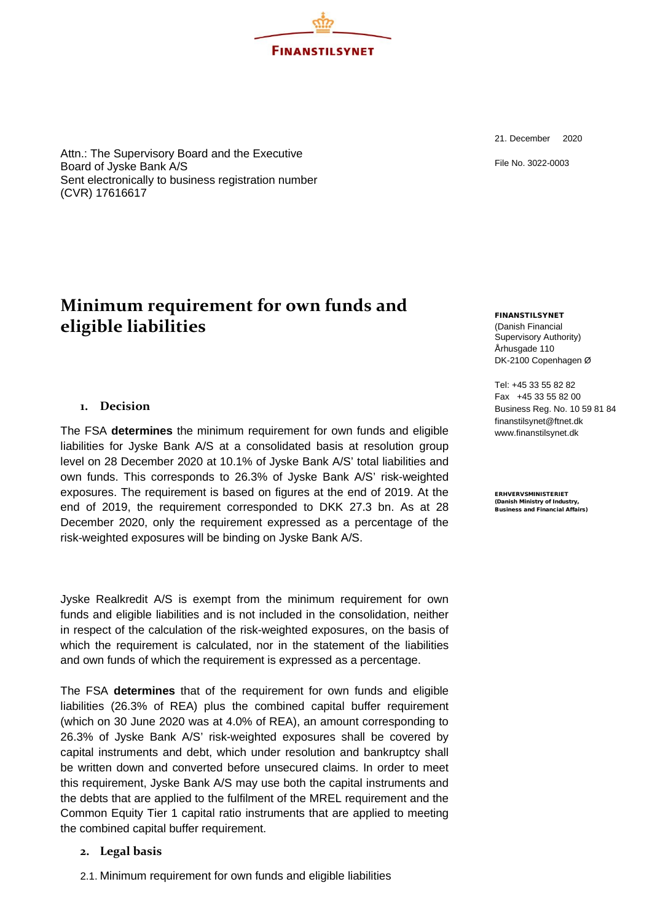Attn.: The Supervisory Board and the Executive Board of Jyske Bank A/S Sent electronically to business registration number (CVR) 17616617

# **Minimum requirement for own funds and eligible liabilities**

# **1. Decision**

The FSA **determines** the minimum requirement for own funds and eligible liabilities for Jyske Bank A/S at a consolidated basis at resolution group level on 28 December 2020 at 10.1% of Jyske Bank A/S' total liabilities and own funds. This corresponds to 26.3% of Jyske Bank A/S' risk-weighted exposures. The requirement is based on figures at the end of 2019. At the end of 2019, the requirement corresponded to DKK 27.3 bn. As at 28 December 2020, only the requirement expressed as a percentage of the risk-weighted exposures will be binding on Jyske Bank A/S.

Jyske Realkredit A/S is exempt from the minimum requirement for own funds and eligible liabilities and is not included in the consolidation, neither in respect of the calculation of the risk-weighted exposures, on the basis of which the requirement is calculated, nor in the statement of the liabilities and own funds of which the requirement is expressed as a percentage.

The FSA **determines** that of the requirement for own funds and eligible liabilities (26.3% of REA) plus the combined capital buffer requirement (which on 30 June 2020 was at 4.0% of REA), an amount corresponding to 26.3% of Jyske Bank A/S' risk-weighted exposures shall be covered by capital instruments and debt, which under resolution and bankruptcy shall be written down and converted before unsecured claims. In order to meet this requirement, Jyske Bank A/S may use both the capital instruments and the debts that are applied to the fulfilment of the MREL requirement and the Common Equity Tier 1 capital ratio instruments that are applied to meeting the combined capital buffer requirement.

#### **2. Legal basis**

2.1. Minimum requirement for own funds and eligible liabilities

21. December 2020

File No. 3022-0003

FINANSTILSYNET (Danish Financial Supervisory Authority) Århusgade 110 DK-2100 Copenhagen Ø

Tel: +45 33 55 82 82 Fax +45 33 55 82 00 Business Reg. No. 10 59 81 84 [finanstilsynet@ftnet.dk](mailto:finanstilsynet@ftnet.dk) [www.finanstilsynet.dk](http://www.finanstilsynet.dk/)

ERHVERVSMINISTERIET (Danish Ministry of Industry, Business and Financial Affairs)

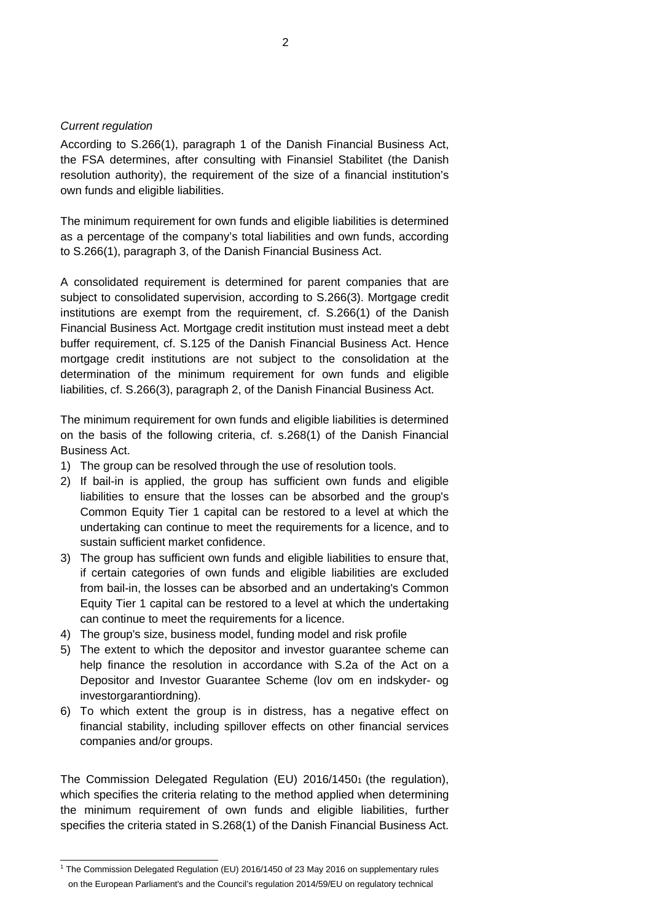#### *Current regulation*

According to S.266(1), paragraph 1 of the Danish Financial Business Act, the FSA determines, after consulting with Finansiel Stabilitet (the Danish resolution authority), the requirement of the size of a financial institution's own funds and eligible liabilities.

The minimum requirement for own funds and eligible liabilities is determined as a percentage of the company's total liabilities and own funds, according to S.266(1), paragraph 3, of the Danish Financial Business Act.

A consolidated requirement is determined for parent companies that are subject to consolidated supervision, according to S.266(3). Mortgage credit institutions are exempt from the requirement, cf. S.266(1) of the Danish Financial Business Act. Mortgage credit institution must instead meet a debt buffer requirement, cf. S.125 of the Danish Financial Business Act. Hence mortgage credit institutions are not subject to the consolidation at the determination of the minimum requirement for own funds and eligible liabilities, cf. S.266(3), paragraph 2, of the Danish Financial Business Act.

The minimum requirement for own funds and eligible liabilities is determined on the basis of the following criteria, cf. s.268(1) of the Danish Financial Business Act.

- 1) The group can be resolved through the use of resolution tools.
- 2) If bail-in is applied, the group has sufficient own funds and eligible liabilities to ensure that the losses can be absorbed and the group's Common Equity Tier 1 capital can be restored to a level at which the undertaking can continue to meet the requirements for a licence, and to sustain sufficient market confidence.
- 3) The group has sufficient own funds and eligible liabilities to ensure that, if certain categories of own funds and eligible liabilities are excluded from bail-in, the losses can be absorbed and an undertaking's Common Equity Tier 1 capital can be restored to a level at which the undertaking can continue to meet the requirements for a licence.
- 4) The group's size, business model, funding model and risk profile
- 5) The extent to which the depositor and investor guarantee scheme can help finance the resolution in accordance with S.2a of the Act on a Depositor and Investor Guarantee Scheme (lov om en indskyder- og investorgarantiordning).
- 6) To which extent the group is in distress, has a negative effect on financial stability, including spillover effects on other financial services companies and/or groups.

The Commission Delegated Regulation (EU) 2016/14501 (the regulation), which specifies the criteria relating to the method applied when determining the minimum requirement of own funds and eligible liabilities, further specifies the criteria stated in S.268(1) of the Danish Financial Business Act.

<sup>1</sup> The Commission Delegated Regulation (EU) 2016/1450 of 23 May 2016 on supplementary rules on the European Parliament's and the Council's regulation 2014/59/EU on regulatory technical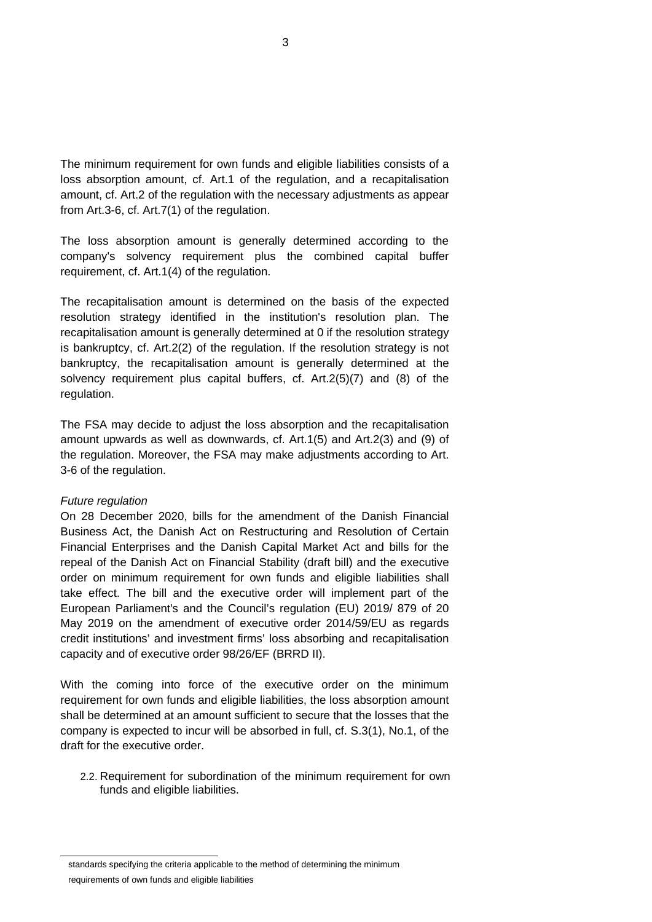The minimum requirement for own funds and eligible liabilities consists of a loss absorption amount, cf. Art.1 of the regulation, and a recapitalisation amount, cf. Art.2 of the regulation with the necessary adjustments as appear from Art.3-6, cf. Art.7(1) of the regulation.

The loss absorption amount is generally determined according to the company's solvency requirement plus the combined capital buffer requirement, cf. Art.1(4) of the regulation.

The recapitalisation amount is determined on the basis of the expected resolution strategy identified in the institution's resolution plan. The recapitalisation amount is generally determined at 0 if the resolution strategy is bankruptcy, cf. Art.2(2) of the regulation. If the resolution strategy is not bankruptcy, the recapitalisation amount is generally determined at the solvency requirement plus capital buffers, cf. Art.2(5)(7) and (8) of the regulation.

The FSA may decide to adjust the loss absorption and the recapitalisation amount upwards as well as downwards, cf. Art.1(5) and Art.2(3) and (9) of the regulation. Moreover, the FSA may make adjustments according to Art. 3-6 of the regulation.

#### *Future regulation*

On 28 December 2020, bills for the amendment of the Danish Financial Business Act, the Danish Act on Restructuring and Resolution of Certain Financial Enterprises and the Danish Capital Market Act and bills for the repeal of the Danish Act on Financial Stability (draft bill) and the executive order on minimum requirement for own funds and eligible liabilities shall take effect. The bill and the executive order will implement part of the European Parliament's and the Council's regulation (EU) 2019/ 879 of 20 May 2019 on the amendment of executive order 2014/59/EU as regards credit institutions' and investment firms' loss absorbing and recapitalisation capacity and of executive order 98/26/EF (BRRD II).

With the coming into force of the executive order on the minimum requirement for own funds and eligible liabilities, the loss absorption amount shall be determined at an amount sufficient to secure that the losses that the company is expected to incur will be absorbed in full, cf. S.3(1), No.1, of the draft for the executive order.

2.2. Requirement for subordination of the minimum requirement for own funds and eligible liabilities.

standards specifying the criteria applicable to the method of determining the minimum requirements of own funds and eligible liabilities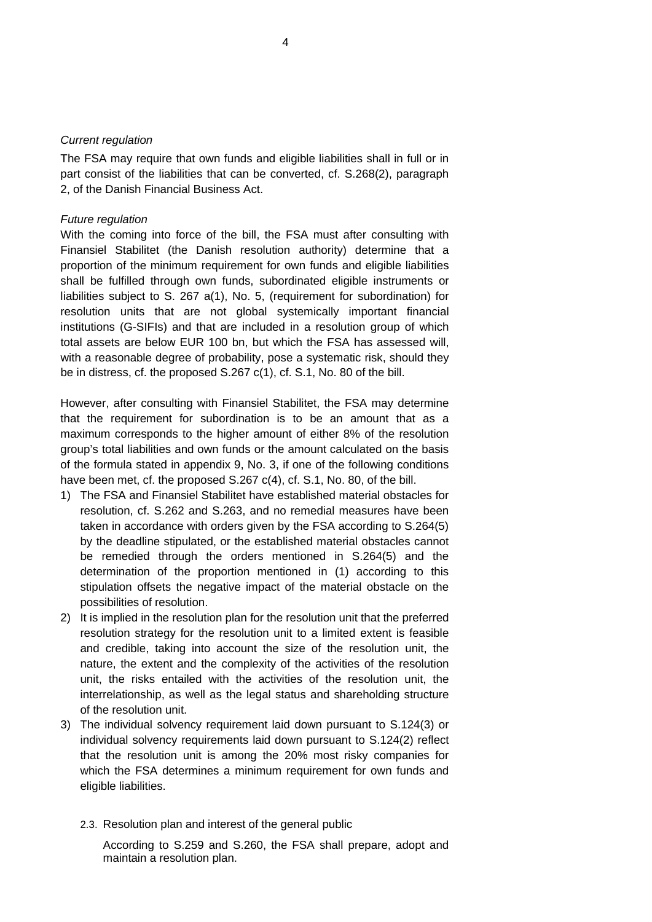#### *Current regulation*

The FSA may require that own funds and eligible liabilities shall in full or in part consist of the liabilities that can be converted, cf. S.268(2), paragraph 2, of the Danish Financial Business Act.

#### *Future regulation*

With the coming into force of the bill, the FSA must after consulting with Finansiel Stabilitet (the Danish resolution authority) determine that a proportion of the minimum requirement for own funds and eligible liabilities shall be fulfilled through own funds, subordinated eligible instruments or liabilities subject to S. 267 a(1), No. 5, (requirement for subordination) for resolution units that are not global systemically important financial institutions (G-SIFIs) and that are included in a resolution group of which total assets are below EUR 100 bn, but which the FSA has assessed will, with a reasonable degree of probability, pose a systematic risk, should they be in distress, cf. the proposed S.267 c(1), cf. S.1, No. 80 of the bill.

However, after consulting with Finansiel Stabilitet, the FSA may determine that the requirement for subordination is to be an amount that as a maximum corresponds to the higher amount of either 8% of the resolution group's total liabilities and own funds or the amount calculated on the basis of the formula stated in appendix 9, No. 3, if one of the following conditions have been met, cf. the proposed S.267 c(4), cf. S.1, No. 80, of the bill.

- 1) The FSA and Finansiel Stabilitet have established material obstacles for resolution, cf. S.262 and S.263, and no remedial measures have been taken in accordance with orders given by the FSA according to S.264(5) by the deadline stipulated, or the established material obstacles cannot be remedied through the orders mentioned in S.264(5) and the determination of the proportion mentioned in (1) according to this stipulation offsets the negative impact of the material obstacle on the possibilities of resolution.
- 2) It is implied in the resolution plan for the resolution unit that the preferred resolution strategy for the resolution unit to a limited extent is feasible and credible, taking into account the size of the resolution unit, the nature, the extent and the complexity of the activities of the resolution unit, the risks entailed with the activities of the resolution unit, the interrelationship, as well as the legal status and shareholding structure of the resolution unit.
- 3) The individual solvency requirement laid down pursuant to S.124(3) or individual solvency requirements laid down pursuant to S.124(2) reflect that the resolution unit is among the 20% most risky companies for which the FSA determines a minimum requirement for own funds and eligible liabilities.
	- 2.3. Resolution plan and interest of the general public

According to S.259 and S.260, the FSA shall prepare, adopt and maintain a resolution plan.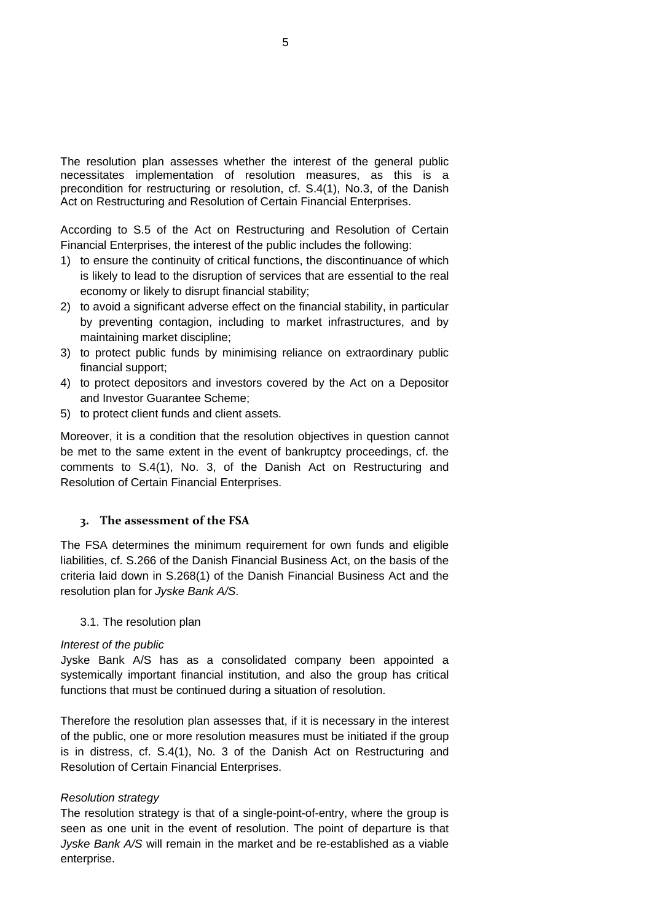The resolution plan assesses whether the interest of the general public necessitates implementation of resolution measures, as this is a precondition for restructuring or resolution, cf. S.4(1), No.3, of the Danish Act on Restructuring and Resolution of Certain Financial Enterprises.

According to S.5 of the Act on Restructuring and Resolution of Certain Financial Enterprises, the interest of the public includes the following:

- 1) to ensure the continuity of critical functions, the discontinuance of which is likely to lead to the disruption of services that are essential to the real economy or likely to disrupt financial stability;
- 2) to avoid a significant adverse effect on the financial stability, in particular by preventing contagion, including to market infrastructures, and by maintaining market discipline;
- 3) to protect public funds by minimising reliance on extraordinary public financial support;
- 4) to protect depositors and investors covered by the Act on a Depositor and Investor Guarantee Scheme;
- 5) to protect client funds and client assets.

Moreover, it is a condition that the resolution objectives in question cannot be met to the same extent in the event of bankruptcy proceedings, cf. the comments to S.4(1), No. 3, of the Danish Act on Restructuring and Resolution of Certain Financial Enterprises.

## **3. The assessment of the FSA**

The FSA determines the minimum requirement for own funds and eligible liabilities, cf. S.266 of the Danish Financial Business Act, on the basis of the criteria laid down in S.268(1) of the Danish Financial Business Act and the resolution plan for *Jyske Bank A/S*.

## 3.1. The resolution plan

## *Interest of the public*

Jyske Bank A/S has as a consolidated company been appointed a systemically important financial institution, and also the group has critical functions that must be continued during a situation of resolution.

Therefore the resolution plan assesses that, if it is necessary in the interest of the public, one or more resolution measures must be initiated if the group is in distress, cf. S.4(1), No. 3 of the Danish Act on Restructuring and Resolution of Certain Financial Enterprises.

## *Resolution strategy*

The resolution strategy is that of a single-point-of-entry, where the group is seen as one unit in the event of resolution. The point of departure is that *Jyske Bank A/S* will remain in the market and be re-established as a viable enterprise.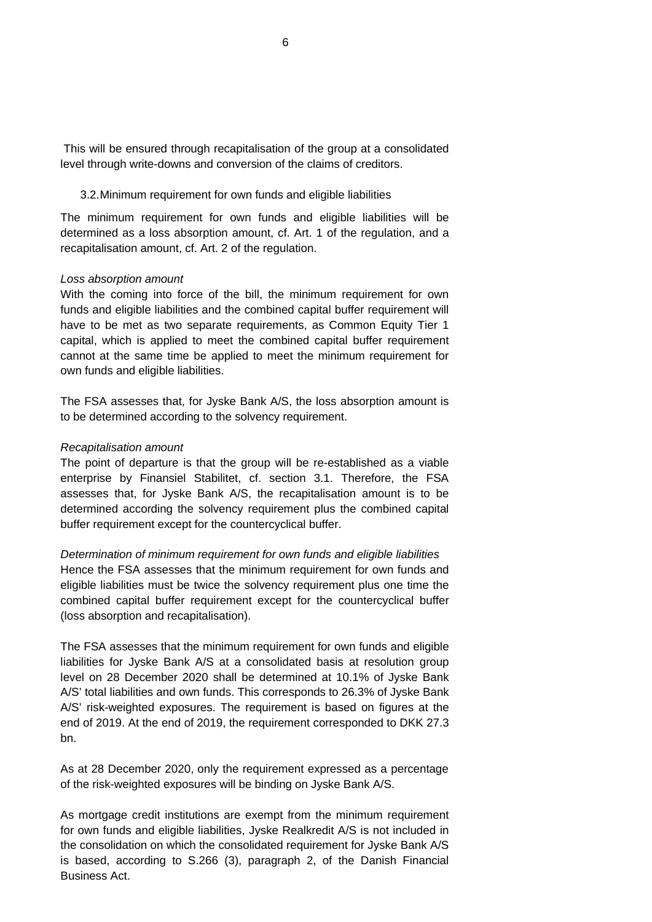This will be ensured through recapitalisation of the group at a consolidated level through write-downs and conversion of the claims of creditors.

#### 3.2.Minimum requirement for own funds and eligible liabilities

The minimum requirement for own funds and eligible liabilities will be determined as a loss absorption amount, cf. Art. 1 of the regulation, and a recapitalisation amount, cf. Art. 2 of the regulation.

#### *Loss absorption amount*

With the coming into force of the bill, the minimum requirement for own funds and eligible liabilities and the combined capital buffer requirement will have to be met as two separate requirements, as Common Equity Tier 1 capital, which is applied to meet the combined capital buffer requirement cannot at the same time be applied to meet the minimum requirement for own funds and eligible liabilities.

The FSA assesses that, for Jyske Bank A/S, the loss absorption amount is to be determined according to the solvency requirement.

#### *Recapitalisation amount*

The point of departure is that the group will be re-established as a viable enterprise by Finansiel Stabilitet, cf. section 3.1. Therefore, the FSA assesses that, for Jyske Bank A/S, the recapitalisation amount is to be determined according the solvency requirement plus the combined capital buffer requirement except for the countercyclical buffer.

*Determination of minimum requirement for own funds and eligible liabilities* Hence the FSA assesses that the minimum requirement for own funds and eligible liabilities must be twice the solvency requirement plus one time the combined capital buffer requirement except for the countercyclical buffer (loss absorption and recapitalisation).

The FSA assesses that the minimum requirement for own funds and eligible liabilities for Jyske Bank A/S at a consolidated basis at resolution group level on 28 December 2020 shall be determined at 10.1% of Jyske Bank A/S' total liabilities and own funds. This corresponds to 26.3% of Jyske Bank A/S' risk-weighted exposures. The requirement is based on figures at the end of 2019. At the end of 2019, the requirement corresponded to DKK 27.3 bn.

As at 28 December 2020, only the requirement expressed as a percentage of the risk-weighted exposures will be binding on Jyske Bank A/S.

As mortgage credit institutions are exempt from the minimum requirement for own funds and eligible liabilities, Jyske Realkredit A/S is not included in the consolidation on which the consolidated requirement for Jyske Bank A/S is based, according to S.266 (3), paragraph 2, of the Danish Financial Business Act.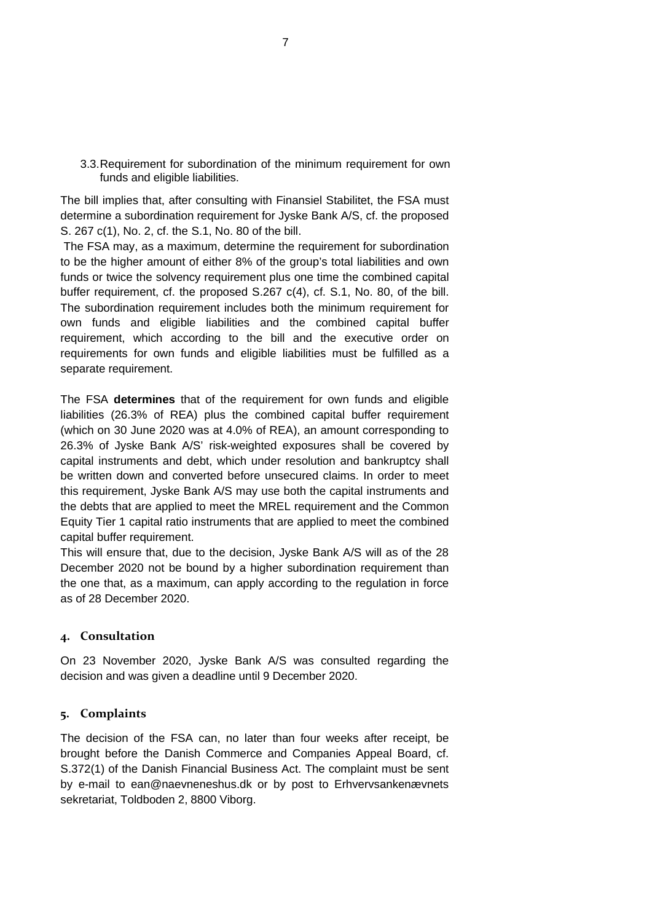3.3.Requirement for subordination of the minimum requirement for own funds and eligible liabilities.

The bill implies that, after consulting with Finansiel Stabilitet, the FSA must determine a subordination requirement for Jyske Bank A/S, cf. the proposed S. 267 c(1), No. 2, cf. the S.1, No. 80 of the bill.

The FSA may, as a maximum, determine the requirement for subordination to be the higher amount of either 8% of the group's total liabilities and own funds or twice the solvency requirement plus one time the combined capital buffer requirement, cf. the proposed S.267 c(4), cf. S.1, No. 80, of the bill. The subordination requirement includes both the minimum requirement for own funds and eligible liabilities and the combined capital buffer requirement, which according to the bill and the executive order on requirements for own funds and eligible liabilities must be fulfilled as a separate requirement.

The FSA **determines** that of the requirement for own funds and eligible liabilities (26.3% of REA) plus the combined capital buffer requirement (which on 30 June 2020 was at 4.0% of REA), an amount corresponding to 26.3% of Jyske Bank A/S' risk-weighted exposures shall be covered by capital instruments and debt, which under resolution and bankruptcy shall be written down and converted before unsecured claims. In order to meet this requirement, Jyske Bank A/S may use both the capital instruments and the debts that are applied to meet the MREL requirement and the Common Equity Tier 1 capital ratio instruments that are applied to meet the combined capital buffer requirement.

This will ensure that, due to the decision, Jyske Bank A/S will as of the 28 December 2020 not be bound by a higher subordination requirement than the one that, as a maximum, can apply according to the regulation in force as of 28 December 2020.

# **4. Consultation**

On 23 November 2020, Jyske Bank A/S was consulted regarding the decision and was given a deadline until 9 December 2020.

## **5. Complaints**

The decision of the FSA can, no later than four weeks after receipt, be brought before the Danish Commerce and Companies Appeal Board, cf. S.372(1) of the Danish Financial Business Act. The complaint must be sent by e-mail to [ean@naevneneshus.dk](mailto:ean@naevneneshus.dk) or by post to Erhvervsankenævnets sekretariat, Toldboden 2, 8800 Viborg.